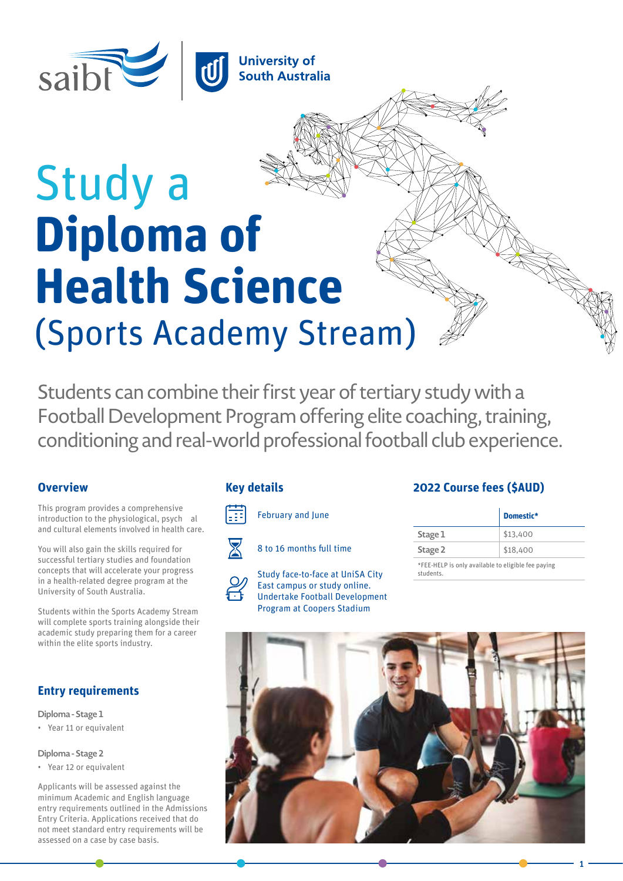

# Study a **Diploma of Health Science** (Sports Academy Stream)

Students can combine their first year of tertiary study with a Football Development Program offering elite coaching, training, conditioning and real-world professional football club experience.

## **Overview**

This program provides a comprehensive introduction to the physiological, psych al and cultural elements involved in health care.

You will also gain the skills required for successful tertiary studies and foundation concepts that will accelerate your progress in a health-related degree program at the University of South Australia.

Students within the Sports Academy Stream will complete sports training alongside their academic study preparing them for a career within the elite sports industry.

# **Entry requirements**

**Diploma - Stage 1** • Year 11 or equivalent

#### **Diploma - Stage 2**

• Year 12 or equivalent

Applicants will be assessed against the minimum Academic and English language entry requirements outlined in the Admissions Entry Criteria. Applications received that do not meet standard entry requirements will be assessed on a case by case basis.

February and June



E

8 to 16 months full time



Study face-to-face at UniSA City East campus or study online. Undertake Football Development Program at Coopers Stadium

# **Key details 2022 Course fees (\$AUD)**

|                                                                 | Domestic* |
|-----------------------------------------------------------------|-----------|
| Stage 1                                                         | \$13,400  |
| Stage 2                                                         | \$18,400  |
| *FEE-HELP is only available to eligible fee paying<br>students. |           |

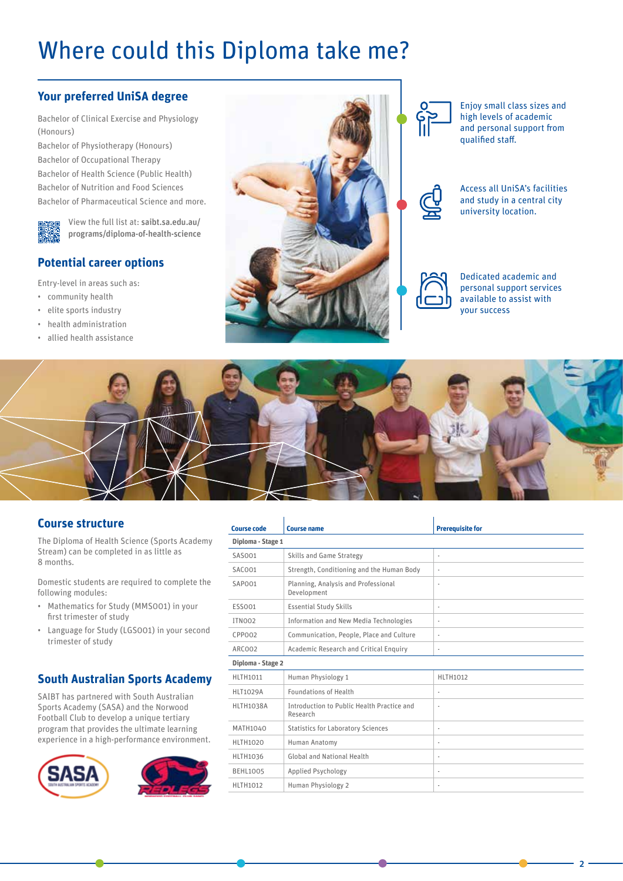# Where could this Diploma take me?

# **Your preferred UniSA degree**

Bachelor of Clinical Exercise and Physiology (Honours)

Bachelor of Physiotherapy (Honours) Bachelor of Occupational Therapy Bachelor of Health Science (Public Health) Bachelor of Nutrition and Food Sciences Bachelor of Pharmaceutical Science and more.

> View the full list at: [saibt.sa.edu.au/](https://www.saibt.sa.edu.au/programs/diploma-of-health-science) [programs/diploma-of-health-science](https://www.saibt.sa.edu.au/programs/diploma-of-health-science)

# **Potential career options**

Entry-level in areas such as:

- community health
- elite sports industry
- health administration
- allied health assistance





Enjoy small class sizes and high levels of academic and personal support from qualified staff.

Access all UniSA's facilities and study in a central city university location.



Dedicated academic and personal support services available to assist with your success

 $\overline{2}$ 



### **Course structure**

The Diploma of Health Science (Sports Academy Stream) can be completed in as little as 8 months.

Domestic students are required to complete the following modules:

- Mathematics for Study (MMS001) in your first trimester of study
- Language for Study (LGS001) in your second trimester of study

## **South Australian Sports Academy**

SAIBT has partnered with South Australian Sports Academy (SASA) and the Norwood Football Club to develop a unique tertiary program that provides the ultimate learning experience in a high-performance environment.





| <b>Course code</b> | <b>Course name</b>                                     | <b>Prerequisite for</b>  |
|--------------------|--------------------------------------------------------|--------------------------|
| Diploma - Stage 1  |                                                        |                          |
| SAS001             | Skills and Game Strategy                               | ٠                        |
| SAC001             | Strength, Conditioning and the Human Body              | $\overline{\phantom{a}}$ |
| SAPO01             | Planning, Analysis and Professional<br>Development     | ٠                        |
| ESS001             | <b>Essential Study Skills</b>                          | $\overline{\phantom{a}}$ |
| ITNO <sub>02</sub> | Information and New Media Technologies                 | $\overline{\phantom{a}}$ |
| CPP002             | Communication, People, Place and Culture               | $\overline{\phantom{a}}$ |
| ARC002             | Academic Research and Critical Enquiry                 | $\overline{\phantom{a}}$ |
| Diploma - Stage 2  |                                                        |                          |
| <b>HLTH1011</b>    | Human Physiology 1                                     | <b>HLTH1012</b>          |
| <b>HLT1029A</b>    | <b>Foundations of Health</b>                           | $\frac{1}{2}$            |
| <b>HLTH1038A</b>   | Introduction to Public Health Practice and<br>Research | ٠                        |
| MATH1040           | <b>Statistics for Laboratory Sciences</b>              | ٠                        |
| <b>HLTH1020</b>    | Human Anatomy                                          | ٠                        |
| <b>HLTH1036</b>    | <b>Global and National Health</b>                      | ٠                        |
| <b>BEHL1005</b>    | Applied Psychology                                     | $\overline{\phantom{a}}$ |
| <b>HLTH1012</b>    | Human Physiology 2                                     | ٠                        |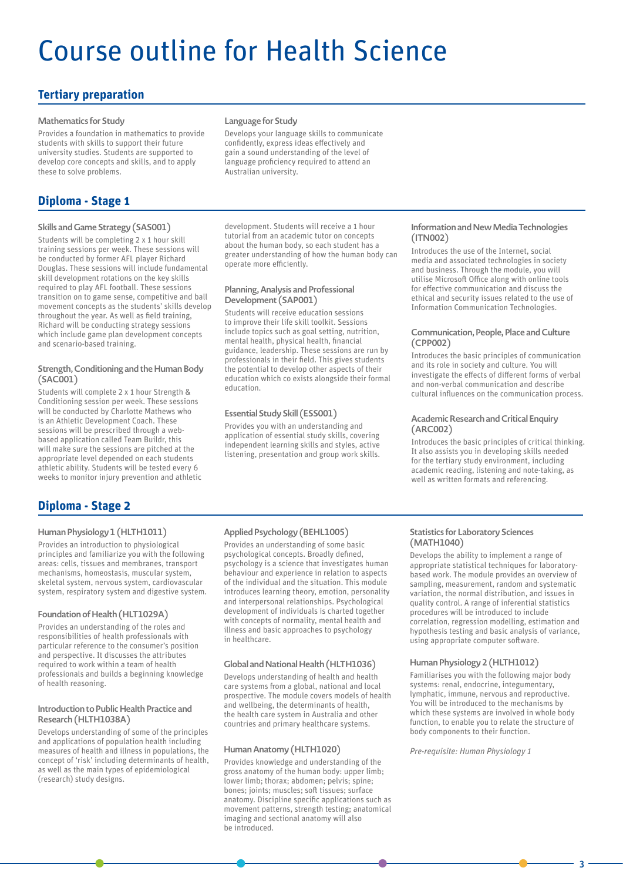# Course outline for Health Science

# **Tertiary preparation**

#### **Mathematics for Study**

Provides a foundation in mathematics to provide students with skills to support their future university studies. Students are supported to develop core concepts and skills, and to apply these to solve problems.

# **Diploma - Stage 1**

#### **Skills and Game Strategy (SAS001)**

Students will be completing 2 x 1 hour skill training sessions per week. These sessions will be conducted by former AFL player Richard Douglas. These sessions will include fundamental skill development rotations on the key skills required to play AFL football. These sessions transition on to game sense, competitive and ball movement concepts as the students' skills develop throughout the year. As well as field training, Richard will be conducting strategy sessions which include game plan development concepts and scenario-based training.

#### **Strength, Conditioning and the Human Body (SAC001)**

Students will complete 2 x 1 hour Strength & Conditioning session per week. These sessions will be conducted by Charlotte Mathews who is an Athletic Development Coach. These sessions will be prescribed through a webbased application called Team Buildr, this will make sure the sessions are pitched at the appropriate level depended on each students athletic ability. Students will be tested every 6 weeks to monitor injury prevention and athletic

#### **Language for Study**

Develops your language skills to communicate confidently, express ideas effectively and gain a sound understanding of the level of language proficiency required to attend an Australian university.

development. Students will receive a 1 hour tutorial from an academic tutor on concepts about the human body, so each student has a greater understanding of how the human body can operate more efficiently.

#### **Planning, Analysis and Professional Development (SAP001)**

Students will receive education sessions to improve their life skill toolkit. Sessions include topics such as goal setting, nutrition, mental health, physical health, financial guidance, leadership. These sessions are run by professionals in their field. This gives students the potential to develop other aspects of their education which co exists alongside their formal education.

#### **Essential Study Skill (ESS001)**

Provides you with an understanding and application of essential study skills, covering independent learning skills and styles, active listening, presentation and group work skills.

#### **Information and New Media Technologies (ITN002)**

Introduces the use of the Internet, social media and associated technologies in society and business. Through the module, you will utilise Microsoft Office along with online tools for effective communication and discuss the ethical and security issues related to the use of Information Communication Technologies.

#### **Communication, People, Place and Culture (CPP002)**

Introduces the basic principles of communication and its role in society and culture. You will investigate the effects of different forms of verbal and non-verbal communication and describe cultural influences on the communication process.

#### **Academic Research and Critical Enquiry (ARC002)**

Introduces the basic principles of critical thinking. It also assists you in developing skills needed for the tertiary study environment, including academic reading, listening and note-taking, as well as written formats and referencing.

## **Diploma - Stage 2**

#### **Human Physiology 1 (HLTH1011)**

Provides an introduction to physiological principles and familiarize you with the following areas: cells, tissues and membranes, transport mechanisms, homeostasis, muscular system, skeletal system, nervous system, cardiovascular system, respiratory system and digestive system.

#### **Foundation of Health (HLT1029A)**

Provides an understanding of the roles and responsibilities of health professionals with particular reference to the consumer's position and perspective. It discusses the attributes required to work within a team of health professionals and builds a beginning knowledge of health reasoning.

#### **Introduction to Public Health Practice and Research (HLTH1038A)**

Develops understanding of some of the principles and applications of population health including measures of health and illness in populations, the concept of 'risk' including determinants of health, as well as the main types of epidemiological (research) study designs.

#### **Applied Psychology (BEHL1005)**

Provides an understanding of some basic psychological concepts. Broadly defined, psychology is a science that investigates human behaviour and experience in relation to aspects of the individual and the situation. This module introduces learning theory, emotion, personality and interpersonal relationships. Psychological development of individuals is charted together with concepts of normality, mental health and illness and basic approaches to psychology in healthcare.

#### **Global and National Health (HLTH1036)**

Develops understanding of health and health care systems from a global, national and local prospective. The module covers models of health and wellbeing, the determinants of health, the health care system in Australia and other countries and primary healthcare systems.

#### **Human Anatomy (HLTH1020)**

Provides knowledge and understanding of the gross anatomy of the human body: upper limb; lower limb; thorax; abdomen; pelvis; spine; bones; joints; muscles; soft tissues; surface anatomy. Discipline specific applications such as movement patterns, strength testing; anatomical imaging and sectional anatomy will also be introduced.

#### **Statistics for Laboratory Sciences (MATH1040)**

Develops the ability to implement a range of appropriate statistical techniques for laboratorybased work. The module provides an overview of sampling, measurement, random and systematic variation, the normal distribution, and issues in quality control. A range of inferential statistics procedures will be introduced to include correlation, regression modelling, estimation and hypothesis testing and basic analysis of variance, using appropriate computer software.

#### **Human Physiology 2 (HLTH1012)**

Familiarises you with the following major body systems: renal, endocrine, integumentary, lymphatic, immune, nervous and reproductive. You will be introduced to the mechanisms by which these systems are involved in whole body function, to enable you to relate the structure of body components to their function.

*Pre-requisite: Human Physiology 1*